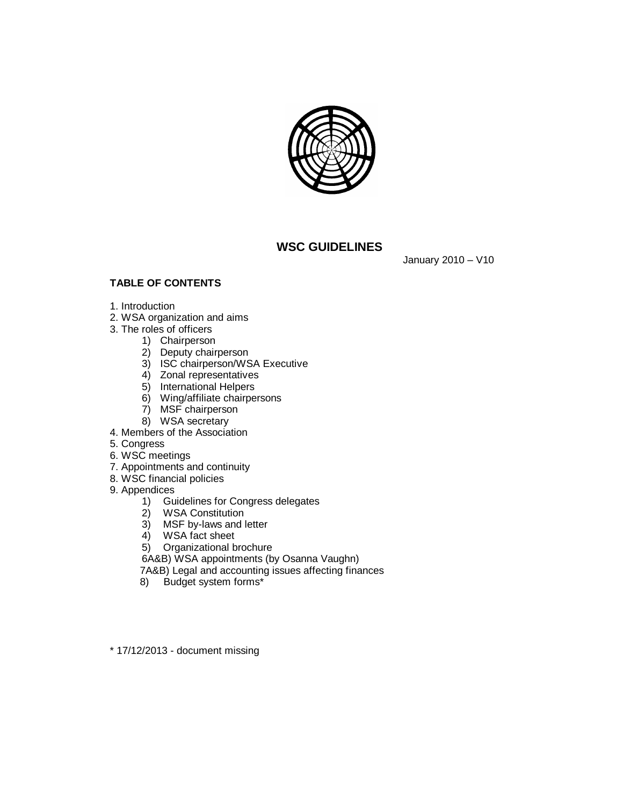

# **WSC GUIDELINES**

January 2010 – V10

# **TABLE OF CONTENTS**

- 1. Introduction
- 2. WSA organization and aims
- 3. The roles of officers
	- 1) Chairperson
	- 2) Deputy chairperson
	- 3) ISC chairperson/WSA Executive
	- 4) Zonal representatives
	- 5) International Helpers
	- 6) Wing/affiliate chairpersons
	- 7) MSF chairperson
	- 8) WSA secretary
- 4. Members of the Association
- 5. Congress
- 6. WSC meetings
- 7. Appointments and continuity
- 8. WSC financial policies
- 9. Appendices
	- 1) Guidelines for Congress delegates
	- 2) WSA Constitution
	- 3) MSF by-laws and letter
	- 4) WSA fact sheet
	- 5) Organizational brochure
	- 6A&B) WSA appointments (by Osanna Vaughn)
	- 7A&B) Legal and accounting issues affecting finances
	- 8) Budget system forms\*
- \* 17/12/2013 document missing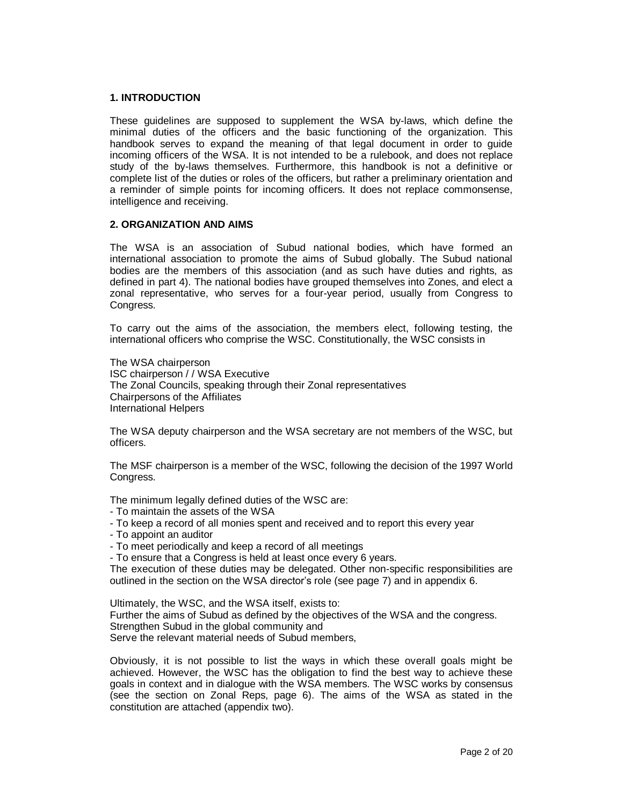# **1. INTRODUCTION**

These guidelines are supposed to supplement the WSA by-laws, which define the minimal duties of the officers and the basic functioning of the organization. This handbook serves to expand the meaning of that legal document in order to guide incoming officers of the WSA. It is not intended to be a rulebook, and does not replace study of the by-laws themselves. Furthermore, this handbook is not a definitive or complete list of the duties or roles of the officers, but rather a preliminary orientation and a reminder of simple points for incoming officers. It does not replace commonsense, intelligence and receiving.

# **2. ORGANIZATION AND AIMS**

The WSA is an association of Subud national bodies, which have formed an international association to promote the aims of Subud globally. The Subud national bodies are the members of this association (and as such have duties and rights, as defined in part 4). The national bodies have grouped themselves into Zones, and elect a zonal representative, who serves for a four-year period, usually from Congress to Congress.

To carry out the aims of the association, the members elect, following testing, the international officers who comprise the WSC. Constitutionally, the WSC consists in

The WSA chairperson ISC chairperson / / WSA Executive The Zonal Councils, speaking through their Zonal representatives Chairpersons of the Affiliates International Helpers

The WSA deputy chairperson and the WSA secretary are not members of the WSC, but officers.

The MSF chairperson is a member of the WSC, following the decision of the 1997 World Congress.

The minimum legally defined duties of the WSC are:

- To maintain the assets of the WSA
- To keep a record of all monies spent and received and to report this every year
- To appoint an auditor
- To meet periodically and keep a record of all meetings

- To ensure that a Congress is held at least once every 6 years.

The execution of these duties may be delegated. Other non-specific responsibilities are outlined in the section on the WSA director's role (see page 7) and in appendix 6.

Ultimately, the WSC, and the WSA itself, exists to: Further the aims of Subud as defined by the objectives of the WSA and the congress. Strengthen Subud in the global community and Serve the relevant material needs of Subud members,

Obviously, it is not possible to list the ways in which these overall goals might be achieved. However, the WSC has the obligation to find the best way to achieve these goals in context and in dialogue with the WSA members. The WSC works by consensus (see the section on Zonal Reps, page 6). The aims of the WSA as stated in the constitution are attached (appendix two).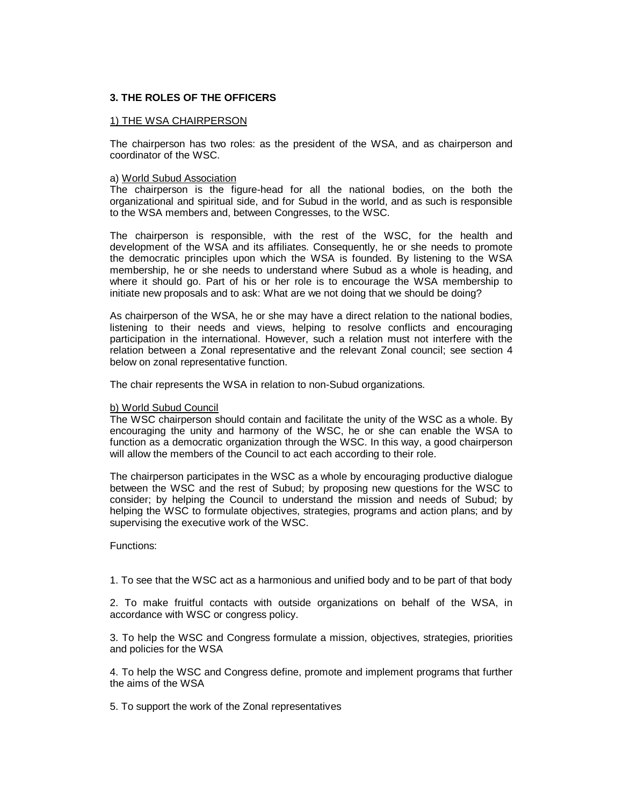# **3. THE ROLES OF THE OFFICERS**

## 1) THE WSA CHAIRPERSON

The chairperson has two roles: as the president of the WSA, and as chairperson and coordinator of the WSC.

### a) World Subud Association

The chairperson is the figure-head for all the national bodies, on the both the organizational and spiritual side, and for Subud in the world, and as such is responsible to the WSA members and, between Congresses, to the WSC.

The chairperson is responsible, with the rest of the WSC, for the health and development of the WSA and its affiliates. Consequently, he or she needs to promote the democratic principles upon which the WSA is founded. By listening to the WSA membership, he or she needs to understand where Subud as a whole is heading, and where it should go. Part of his or her role is to encourage the WSA membership to initiate new proposals and to ask: What are we not doing that we should be doing?

As chairperson of the WSA, he or she may have a direct relation to the national bodies, listening to their needs and views, helping to resolve conflicts and encouraging participation in the international. However, such a relation must not interfere with the relation between a Zonal representative and the relevant Zonal council; see section 4 below on zonal representative function.

The chair represents the WSA in relation to non-Subud organizations.

### b) World Subud Council

The WSC chairperson should contain and facilitate the unity of the WSC as a whole. By encouraging the unity and harmony of the WSC, he or she can enable the WSA to function as a democratic organization through the WSC. In this way, a good chairperson will allow the members of the Council to act each according to their role.

The chairperson participates in the WSC as a whole by encouraging productive dialogue between the WSC and the rest of Subud; by proposing new questions for the WSC to consider; by helping the Council to understand the mission and needs of Subud; by helping the WSC to formulate objectives, strategies, programs and action plans; and by supervising the executive work of the WSC.

#### Functions:

1. To see that the WSC act as a harmonious and unified body and to be part of that body

2. To make fruitful contacts with outside organizations on behalf of the WSA, in accordance with WSC or congress policy.

3. To help the WSC and Congress formulate a mission, objectives, strategies, priorities and policies for the WSA

4. To help the WSC and Congress define, promote and implement programs that further the aims of the WSA

5. To support the work of the Zonal representatives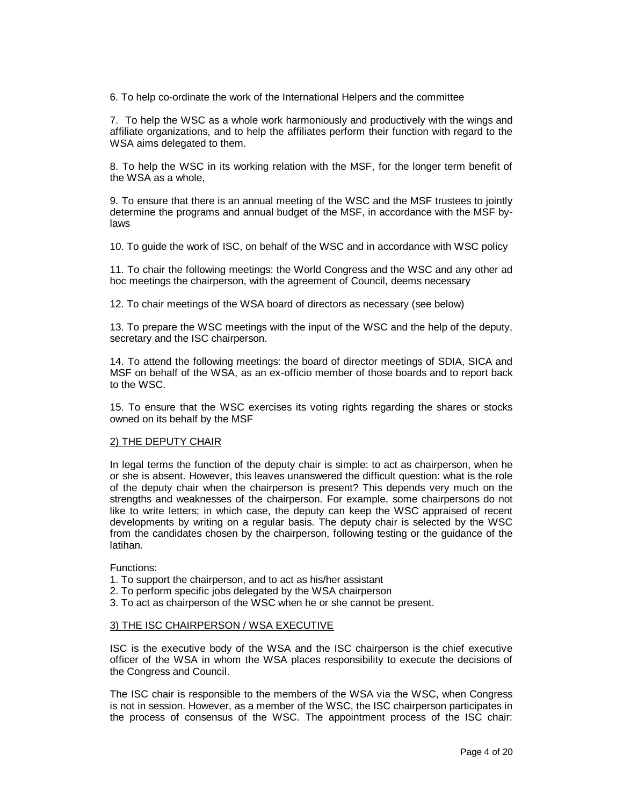6. To help co-ordinate the work of the International Helpers and the committee

7. To help the WSC as a whole work harmoniously and productively with the wings and affiliate organizations, and to help the affiliates perform their function with regard to the WSA aims delegated to them.

8. To help the WSC in its working relation with the MSF, for the longer term benefit of the WSA as a whole,

9. To ensure that there is an annual meeting of the WSC and the MSF trustees to jointly determine the programs and annual budget of the MSF, in accordance with the MSF bylaws

10. To guide the work of ISC, on behalf of the WSC and in accordance with WSC policy

11. To chair the following meetings: the World Congress and the WSC and any other ad hoc meetings the chairperson, with the agreement of Council, deems necessary

12. To chair meetings of the WSA board of directors as necessary (see below)

13. To prepare the WSC meetings with the input of the WSC and the help of the deputy, secretary and the ISC chairperson.

14. To attend the following meetings: the board of director meetings of SDIA, SICA and MSF on behalf of the WSA, as an ex-officio member of those boards and to report back to the WSC.

15. To ensure that the WSC exercises its voting rights regarding the shares or stocks owned on its behalf by the MSF

### 2) THE DEPUTY CHAIR

In legal terms the function of the deputy chair is simple: to act as chairperson, when he or she is absent. However, this leaves unanswered the difficult question: what is the role of the deputy chair when the chairperson is present? This depends very much on the strengths and weaknesses of the chairperson. For example, some chairpersons do not like to write letters; in which case, the deputy can keep the WSC appraised of recent developments by writing on a regular basis. The deputy chair is selected by the WSC from the candidates chosen by the chairperson, following testing or the guidance of the latihan.

Functions:

- 1. To support the chairperson, and to act as his/her assistant
- 2. To perform specific jobs delegated by the WSA chairperson
- 3. To act as chairperson of the WSC when he or she cannot be present.

#### 3) THE ISC CHAIRPERSON / WSA EXECUTIVE

ISC is the executive body of the WSA and the ISC chairperson is the chief executive officer of the WSA in whom the WSA places responsibility to execute the decisions of the Congress and Council.

The ISC chair is responsible to the members of the WSA via the WSC, when Congress is not in session. However, as a member of the WSC, the ISC chairperson participates in the process of consensus of the WSC. The appointment process of the ISC chair: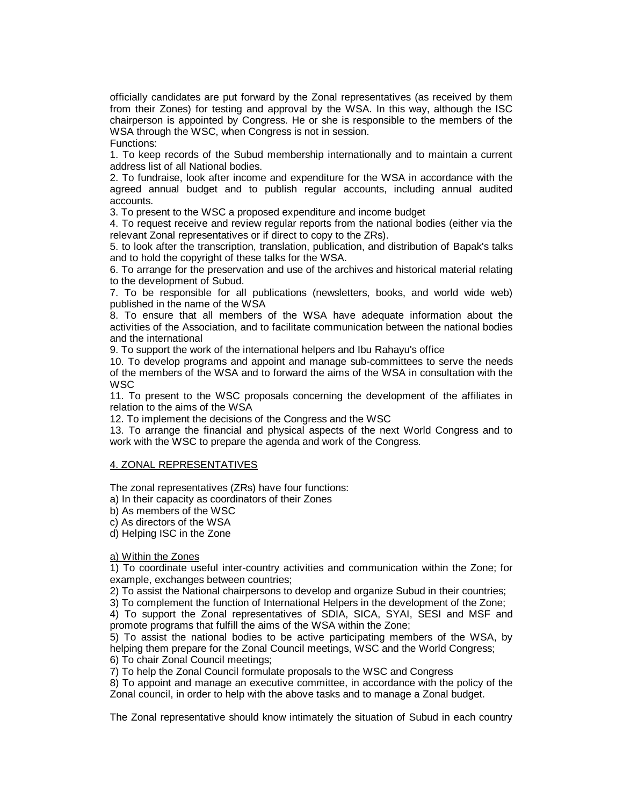officially candidates are put forward by the Zonal representatives (as received by them from their Zones) for testing and approval by the WSA. In this way, although the ISC chairperson is appointed by Congress. He or she is responsible to the members of the WSA through the WSC, when Congress is not in session.

Functions:

1. To keep records of the Subud membership internationally and to maintain a current address list of all National bodies.

2. To fundraise, look after income and expenditure for the WSA in accordance with the agreed annual budget and to publish regular accounts, including annual audited accounts.

3. To present to the WSC a proposed expenditure and income budget

4. To request receive and review regular reports from the national bodies (either via the relevant Zonal representatives or if direct to copy to the ZRs).

5. to look after the transcription, translation, publication, and distribution of Bapak's talks and to hold the copyright of these talks for the WSA.

6. To arrange for the preservation and use of the archives and historical material relating to the development of Subud.

7. To be responsible for all publications (newsletters, books, and world wide web) published in the name of the WSA

8. To ensure that all members of the WSA have adequate information about the activities of the Association, and to facilitate communication between the national bodies and the international

9. To support the work of the international helpers and Ibu Rahayu's office

10. To develop programs and appoint and manage sub-committees to serve the needs of the members of the WSA and to forward the aims of the WSA in consultation with the **WSC** 

11. To present to the WSC proposals concerning the development of the affiliates in relation to the aims of the WSA

12. To implement the decisions of the Congress and the WSC

13. To arrange the financial and physical aspects of the next World Congress and to work with the WSC to prepare the agenda and work of the Congress.

# 4. ZONAL REPRESENTATIVES

The zonal representatives (ZRs) have four functions:

a) In their capacity as coordinators of their Zones

b) As members of the WSC

c) As directors of the WSA

d) Helping ISC in the Zone

a) Within the Zones

1) To coordinate useful inter-country activities and communication within the Zone; for example, exchanges between countries;

2) To assist the National chairpersons to develop and organize Subud in their countries;

3) To complement the function of International Helpers in the development of the Zone;

4) To support the Zonal representatives of SDIA, SICA, SYAI, SESI and MSF and promote programs that fulfill the aims of the WSA within the Zone;

5) To assist the national bodies to be active participating members of the WSA, by helping them prepare for the Zonal Council meetings, WSC and the World Congress; 6) To chair Zonal Council meetings;

7) To help the Zonal Council formulate proposals to the WSC and Congress

8) To appoint and manage an executive committee, in accordance with the policy of the Zonal council, in order to help with the above tasks and to manage a Zonal budget.

The Zonal representative should know intimately the situation of Subud in each country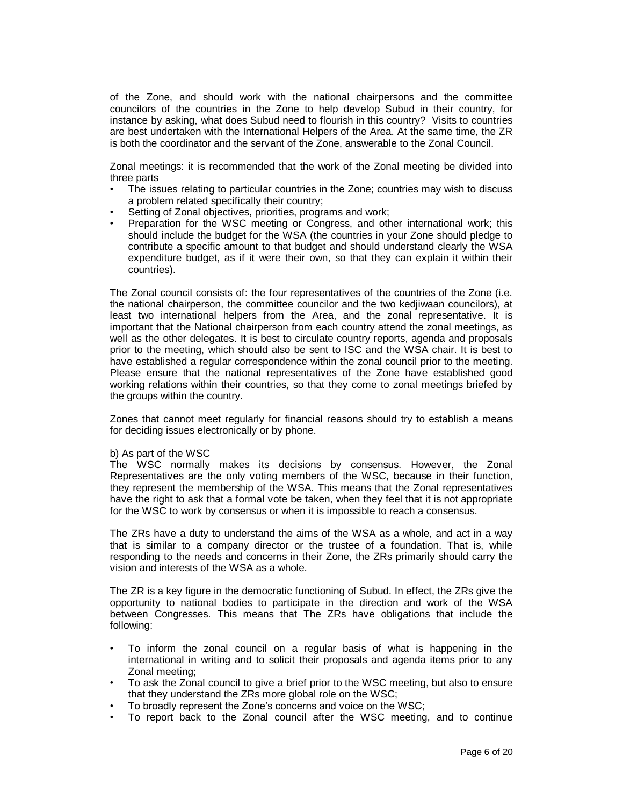of the Zone, and should work with the national chairpersons and the committee councilors of the countries in the Zone to help develop Subud in their country, for instance by asking, what does Subud need to flourish in this country? Visits to countries are best undertaken with the International Helpers of the Area. At the same time, the ZR is both the coordinator and the servant of the Zone, answerable to the Zonal Council.

Zonal meetings: it is recommended that the work of the Zonal meeting be divided into three parts

- The issues relating to particular countries in the Zone; countries may wish to discuss a problem related specifically their country;
- Setting of Zonal objectives, priorities, programs and work;
- Preparation for the WSC meeting or Congress, and other international work; this should include the budget for the WSA (the countries in your Zone should pledge to contribute a specific amount to that budget and should understand clearly the WSA expenditure budget, as if it were their own, so that they can explain it within their countries).

The Zonal council consists of: the four representatives of the countries of the Zone (i.e. the national chairperson, the committee councilor and the two kedjiwaan councilors), at least two international helpers from the Area, and the zonal representative. It is important that the National chairperson from each country attend the zonal meetings, as well as the other delegates. It is best to circulate country reports, agenda and proposals prior to the meeting, which should also be sent to ISC and the WSA chair. It is best to have established a regular correspondence within the zonal council prior to the meeting. Please ensure that the national representatives of the Zone have established good working relations within their countries, so that they come to zonal meetings briefed by the groups within the country.

Zones that cannot meet regularly for financial reasons should try to establish a means for deciding issues electronically or by phone.

# b) As part of the WSC

The WSC normally makes its decisions by consensus. However, the Zonal Representatives are the only voting members of the WSC, because in their function, they represent the membership of the WSA. This means that the Zonal representatives have the right to ask that a formal vote be taken, when they feel that it is not appropriate for the WSC to work by consensus or when it is impossible to reach a consensus.

The ZRs have a duty to understand the aims of the WSA as a whole, and act in a way that is similar to a company director or the trustee of a foundation. That is, while responding to the needs and concerns in their Zone, the ZRs primarily should carry the vision and interests of the WSA as a whole.

The ZR is a key figure in the democratic functioning of Subud. In effect, the ZRs give the opportunity to national bodies to participate in the direction and work of the WSA between Congresses. This means that The ZRs have obligations that include the following:

- To inform the zonal council on a regular basis of what is happening in the international in writing and to solicit their proposals and agenda items prior to any Zonal meeting;
- To ask the Zonal council to give a brief prior to the WSC meeting, but also to ensure that they understand the ZRs more global role on the WSC;
- To broadly represent the Zone's concerns and voice on the WSC;
- To report back to the Zonal council after the WSC meeting, and to continue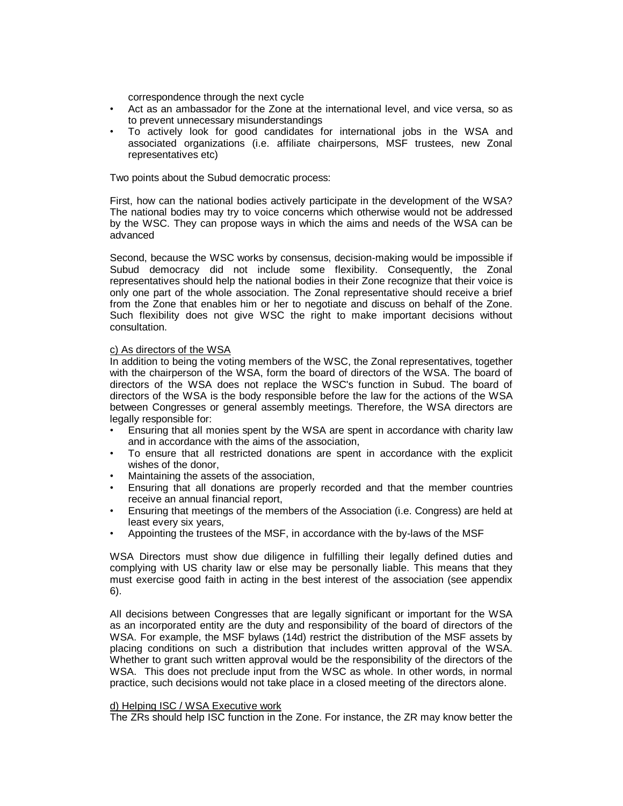correspondence through the next cycle

- Act as an ambassador for the Zone at the international level, and vice versa, so as to prevent unnecessary misunderstandings
- To actively look for good candidates for international jobs in the WSA and associated organizations (i.e. affiliate chairpersons, MSF trustees, new Zonal representatives etc)

Two points about the Subud democratic process:

First, how can the national bodies actively participate in the development of the WSA? The national bodies may try to voice concerns which otherwise would not be addressed by the WSC. They can propose ways in which the aims and needs of the WSA can be advanced

Second, because the WSC works by consensus, decision-making would be impossible if Subud democracy did not include some flexibility. Consequently, the Zonal representatives should help the national bodies in their Zone recognize that their voice is only one part of the whole association. The Zonal representative should receive a brief from the Zone that enables him or her to negotiate and discuss on behalf of the Zone. Such flexibility does not give WSC the right to make important decisions without consultation.

## c) As directors of the WSA

In addition to being the voting members of the WSC, the Zonal representatives, together with the chairperson of the WSA, form the board of directors of the WSA. The board of directors of the WSA does not replace the WSC's function in Subud. The board of directors of the WSA is the body responsible before the law for the actions of the WSA between Congresses or general assembly meetings. Therefore, the WSA directors are legally responsible for:

- Ensuring that all monies spent by the WSA are spent in accordance with charity law and in accordance with the aims of the association,
- To ensure that all restricted donations are spent in accordance with the explicit wishes of the donor,
- Maintaining the assets of the association,
- Ensuring that all donations are properly recorded and that the member countries receive an annual financial report,
- Ensuring that meetings of the members of the Association (i.e. Congress) are held at least every six years,
- Appointing the trustees of the MSF, in accordance with the by-laws of the MSF

WSA Directors must show due diligence in fulfilling their legally defined duties and complying with US charity law or else may be personally liable. This means that they must exercise good faith in acting in the best interest of the association (see appendix 6).

All decisions between Congresses that are legally significant or important for the WSA as an incorporated entity are the duty and responsibility of the board of directors of the WSA. For example, the MSF bylaws (14d) restrict the distribution of the MSF assets by placing conditions on such a distribution that includes written approval of the WSA. Whether to grant such written approval would be the responsibility of the directors of the WSA. This does not preclude input from the WSC as whole. In other words, in normal practice, such decisions would not take place in a closed meeting of the directors alone.

#### d) Helping ISC / WSA Executive work

The ZRs should help ISC function in the Zone. For instance, the ZR may know better the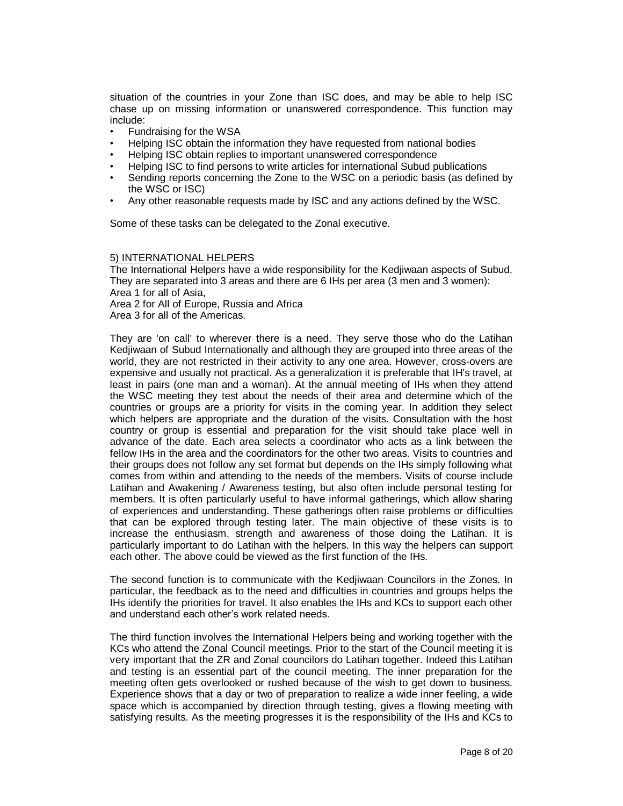situation of the countries in your Zone than ISC does, and may be able to help ISC chase up on missing information or unanswered correspondence. This function may include:

- Fundraising for the WSA
- Helping ISC obtain the information they have requested from national bodies
- Helping ISC obtain replies to important unanswered correspondence
- Helping ISC to find persons to write articles for international Subud publications
- Sending reports concerning the Zone to the WSC on a periodic basis (as defined by the WSC or ISC)
- Any other reasonable requests made by ISC and any actions defined by the WSC.

Some of these tasks can be delegated to the Zonal executive.

#### 5) INTERNATIONAL HELPERS

The International Helpers have a wide responsibility for the Kedjiwaan aspects of Subud. They are separated into 3 areas and there are 6 IHs per area (3 men and 3 women): Area 1 for all of Asia,

Area 2 for All of Europe, Russia and Africa

Area 3 for all of the Americas.

They are 'on call' to wherever there is a need. They serve those who do the Latihan Kedjiwaan of Subud Internationally and although they are grouped into three areas of the world, they are not restricted in their activity to any one area. However, cross-overs are expensive and usually not practical. As a generalization it is preferable that IH's travel, at least in pairs (one man and a woman). At the annual meeting of IHs when they attend the WSC meeting they test about the needs of their area and determine which of the countries or groups are a priority for visits in the coming year. In addition they select which helpers are appropriate and the duration of the visits. Consultation with the host country or group is essential and preparation for the visit should take place well in advance of the date. Each area selects a coordinator who acts as a link between the fellow IHs in the area and the coordinators for the other two areas. Visits to countries and their groups does not follow any set format but depends on the IHs simply following what comes from within and attending to the needs of the members. Visits of course include Latihan and Awakening / Awareness testing, but also often include personal testing for members. It is often particularly useful to have informal gatherings, which allow sharing of experiences and understanding. These gatherings often raise problems or difficulties that can be explored through testing later. The main objective of these visits is to increase the enthusiasm, strength and awareness of those doing the Latihan. It is particularly important to do Latihan with the helpers. In this way the helpers can support each other. The above could be viewed as the first function of the IHs.

The second function is to communicate with the Kedjiwaan Councilors in the Zones. In particular, the feedback as to the need and difficulties in countries and groups helps the IHs identify the priorities for travel. It also enables the IHs and KCs to support each other and understand each other's work related needs.

The third function involves the International Helpers being and working together with the KCs who attend the Zonal Council meetings. Prior to the start of the Council meeting it is very important that the ZR and Zonal councilors do Latihan together. Indeed this Latihan and testing is an essential part of the council meeting. The inner preparation for the meeting often gets overlooked or rushed because of the wish to get down to business. Experience shows that a day or two of preparation to realize a wide inner feeling, a wide space which is accompanied by direction through testing, gives a flowing meeting with satisfying results. As the meeting progresses it is the responsibility of the IHs and KCs to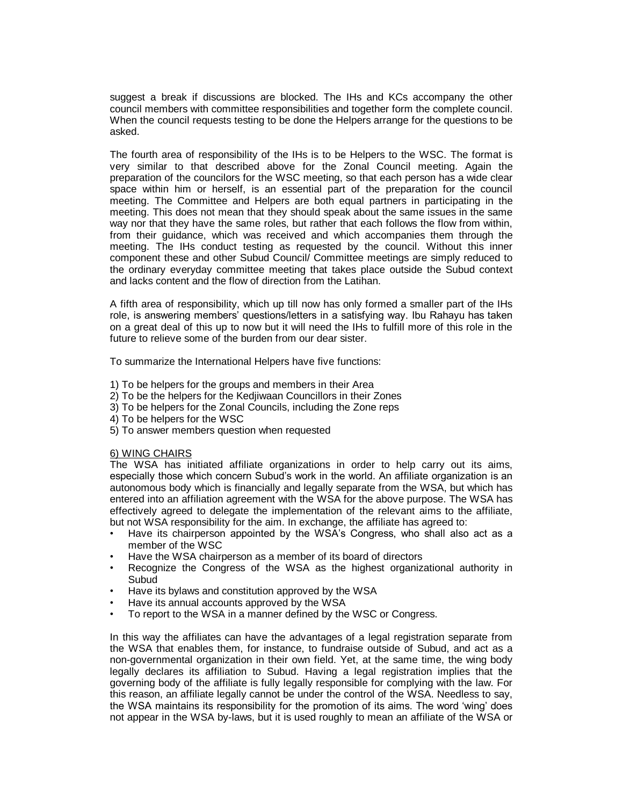suggest a break if discussions are blocked. The IHs and KCs accompany the other council members with committee responsibilities and together form the complete council. When the council requests testing to be done the Helpers arrange for the questions to be asked.

The fourth area of responsibility of the IHs is to be Helpers to the WSC. The format is very similar to that described above for the Zonal Council meeting. Again the preparation of the councilors for the WSC meeting, so that each person has a wide clear space within him or herself, is an essential part of the preparation for the council meeting. The Committee and Helpers are both equal partners in participating in the meeting. This does not mean that they should speak about the same issues in the same way nor that they have the same roles, but rather that each follows the flow from within, from their guidance, which was received and which accompanies them through the meeting. The IHs conduct testing as requested by the council. Without this inner component these and other Subud Council/ Committee meetings are simply reduced to the ordinary everyday committee meeting that takes place outside the Subud context and lacks content and the flow of direction from the Latihan.

A fifth area of responsibility, which up till now has only formed a smaller part of the IHs role, is answering members' questions/letters in a satisfying way. Ibu Rahayu has taken on a great deal of this up to now but it will need the IHs to fulfill more of this role in the future to relieve some of the burden from our dear sister.

To summarize the International Helpers have five functions:

- 1) To be helpers for the groups and members in their Area
- 2) To be the helpers for the Kedjiwaan Councillors in their Zones
- 3) To be helpers for the Zonal Councils, including the Zone reps
- 4) To be helpers for the WSC
- 5) To answer members question when requested

#### 6) WING CHAIRS

The WSA has initiated affiliate organizations in order to help carry out its aims, especially those which concern Subud's work in the world. An affiliate organization is an autonomous body which is financially and legally separate from the WSA, but which has entered into an affiliation agreement with the WSA for the above purpose. The WSA has effectively agreed to delegate the implementation of the relevant aims to the affiliate, but not WSA responsibility for the aim. In exchange, the affiliate has agreed to:

- Have its chairperson appointed by the WSA's Congress, who shall also act as a member of the WSC
- Have the WSA chairperson as a member of its board of directors
- Recognize the Congress of the WSA as the highest organizational authority in Subud
- Have its bylaws and constitution approved by the WSA
- Have its annual accounts approved by the WSA
- To report to the WSA in a manner defined by the WSC or Congress.

In this way the affiliates can have the advantages of a legal registration separate from the WSA that enables them, for instance, to fundraise outside of Subud, and act as a non-governmental organization in their own field. Yet, at the same time, the wing body legally declares its affiliation to Subud. Having a legal registration implies that the governing body of the affiliate is fully legally responsible for complying with the law. For this reason, an affiliate legally cannot be under the control of the WSA. Needless to say, the WSA maintains its responsibility for the promotion of its aims. The word 'wing' does not appear in the WSA by-laws, but it is used roughly to mean an affiliate of the WSA or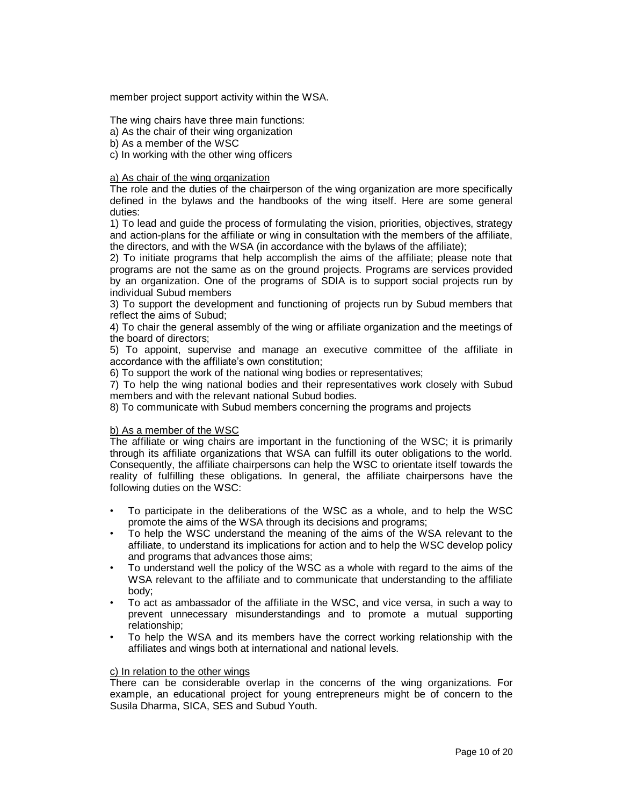member project support activity within the WSA.

The wing chairs have three main functions:

a) As the chair of their wing organization

b) As a member of the WSC

c) In working with the other wing officers

### a) As chair of the wing organization

The role and the duties of the chairperson of the wing organization are more specifically defined in the bylaws and the handbooks of the wing itself. Here are some general duties:

1) To lead and guide the process of formulating the vision, priorities, objectives, strategy and action-plans for the affiliate or wing in consultation with the members of the affiliate, the directors, and with the WSA (in accordance with the bylaws of the affiliate);

2) To initiate programs that help accomplish the aims of the affiliate; please note that programs are not the same as on the ground projects. Programs are services provided by an organization. One of the programs of SDIA is to support social projects run by individual Subud members

3) To support the development and functioning of projects run by Subud members that reflect the aims of Subud;

4) To chair the general assembly of the wing or affiliate organization and the meetings of the board of directors;

5) To appoint, supervise and manage an executive committee of the affiliate in accordance with the affiliate's own constitution;

6) To support the work of the national wing bodies or representatives;

7) To help the wing national bodies and their representatives work closely with Subud members and with the relevant national Subud bodies.

8) To communicate with Subud members concerning the programs and projects

#### b) As a member of the WSC

The affiliate or wing chairs are important in the functioning of the WSC; it is primarily through its affiliate organizations that WSA can fulfill its outer obligations to the world. Consequently, the affiliate chairpersons can help the WSC to orientate itself towards the reality of fulfilling these obligations. In general, the affiliate chairpersons have the following duties on the WSC:

- To participate in the deliberations of the WSC as a whole, and to help the WSC promote the aims of the WSA through its decisions and programs;
- To help the WSC understand the meaning of the aims of the WSA relevant to the affiliate, to understand its implications for action and to help the WSC develop policy and programs that advances those aims;
- To understand well the policy of the WSC as a whole with regard to the aims of the WSA relevant to the affiliate and to communicate that understanding to the affiliate body;
- To act as ambassador of the affiliate in the WSC, and vice versa, in such a way to prevent unnecessary misunderstandings and to promote a mutual supporting relationship;
- To help the WSA and its members have the correct working relationship with the affiliates and wings both at international and national levels.

## c) In relation to the other wings

There can be considerable overlap in the concerns of the wing organizations. For example, an educational project for young entrepreneurs might be of concern to the Susila Dharma, SICA, SES and Subud Youth.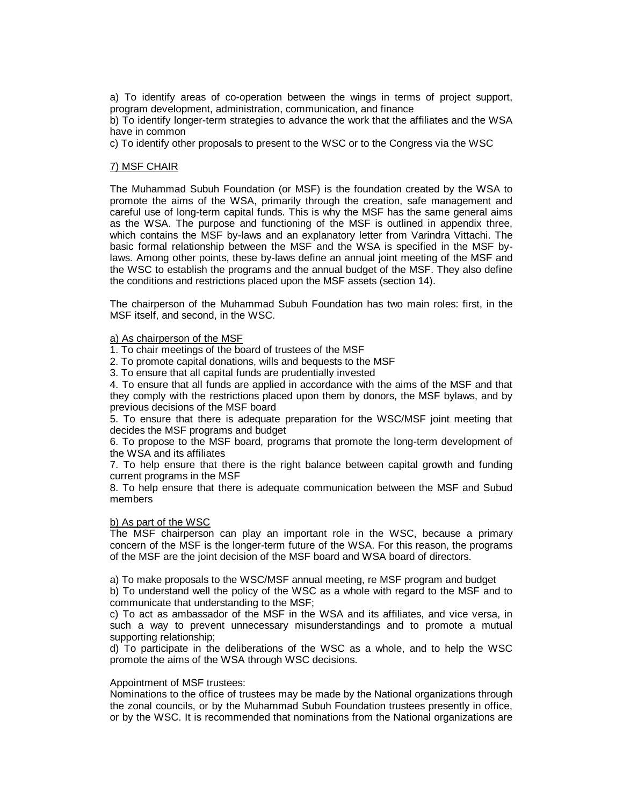a) To identify areas of co-operation between the wings in terms of project support, program development, administration, communication, and finance

b) To identify longer-term strategies to advance the work that the affiliates and the WSA have in common

c) To identify other proposals to present to the WSC or to the Congress via the WSC

## 7) MSF CHAIR

The Muhammad Subuh Foundation (or MSF) is the foundation created by the WSA to promote the aims of the WSA, primarily through the creation, safe management and careful use of long-term capital funds. This is why the MSF has the same general aims as the WSA. The purpose and functioning of the MSF is outlined in appendix three, which contains the MSF by-laws and an explanatory letter from Varindra Vittachi. The basic formal relationship between the MSF and the WSA is specified in the MSF bylaws. Among other points, these by-laws define an annual joint meeting of the MSF and the WSC to establish the programs and the annual budget of the MSF. They also define the conditions and restrictions placed upon the MSF assets (section 14).

The chairperson of the Muhammad Subuh Foundation has two main roles: first, in the MSF itself, and second, in the WSC.

#### a) As chairperson of the MSF

1. To chair meetings of the board of trustees of the MSF

2. To promote capital donations, wills and bequests to the MSF

3. To ensure that all capital funds are prudentially invested

4. To ensure that all funds are applied in accordance with the aims of the MSF and that they comply with the restrictions placed upon them by donors, the MSF bylaws, and by previous decisions of the MSF board

5. To ensure that there is adequate preparation for the WSC/MSF joint meeting that decides the MSF programs and budget

6. To propose to the MSF board, programs that promote the long-term development of the WSA and its affiliates

7. To help ensure that there is the right balance between capital growth and funding current programs in the MSF

8. To help ensure that there is adequate communication between the MSF and Subud members

## b) As part of the WSC

The MSF chairperson can play an important role in the WSC, because a primary concern of the MSF is the longer-term future of the WSA. For this reason, the programs of the MSF are the joint decision of the MSF board and WSA board of directors.

a) To make proposals to the WSC/MSF annual meeting, re MSF program and budget b) To understand well the policy of the WSC as a whole with regard to the MSF and to communicate that understanding to the MSF;

c) To act as ambassador of the MSF in the WSA and its affiliates, and vice versa, in such a way to prevent unnecessary misunderstandings and to promote a mutual supporting relationship;

d) To participate in the deliberations of the WSC as a whole, and to help the WSC promote the aims of the WSA through WSC decisions.

## Appointment of MSF trustees:

Nominations to the office of trustees may be made by the National organizations through the zonal councils, or by the Muhammad Subuh Foundation trustees presently in office, or by the WSC. It is recommended that nominations from the National organizations are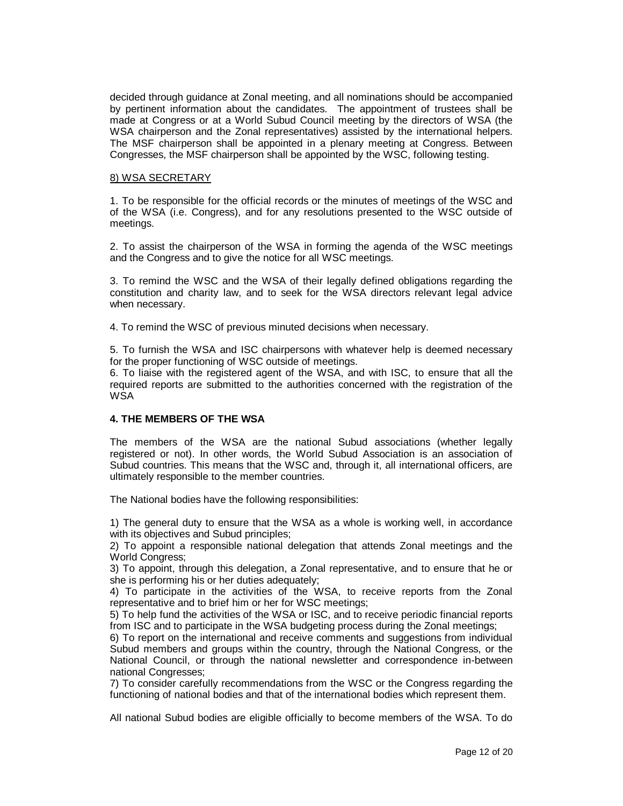decided through guidance at Zonal meeting, and all nominations should be accompanied by pertinent information about the candidates. The appointment of trustees shall be made at Congress or at a World Subud Council meeting by the directors of WSA (the WSA chairperson and the Zonal representatives) assisted by the international helpers. The MSF chairperson shall be appointed in a plenary meeting at Congress. Between Congresses, the MSF chairperson shall be appointed by the WSC, following testing.

## 8) WSA SECRETARY

1. To be responsible for the official records or the minutes of meetings of the WSC and of the WSA (i.e. Congress), and for any resolutions presented to the WSC outside of meetings.

2. To assist the chairperson of the WSA in forming the agenda of the WSC meetings and the Congress and to give the notice for all WSC meetings.

3. To remind the WSC and the WSA of their legally defined obligations regarding the constitution and charity law, and to seek for the WSA directors relevant legal advice when necessary.

4. To remind the WSC of previous minuted decisions when necessary.

5. To furnish the WSA and ISC chairpersons with whatever help is deemed necessary for the proper functioning of WSC outside of meetings.

6. To liaise with the registered agent of the WSA, and with ISC, to ensure that all the required reports are submitted to the authorities concerned with the registration of the WSA

# **4. THE MEMBERS OF THE WSA**

The members of the WSA are the national Subud associations (whether legally registered or not). In other words, the World Subud Association is an association of Subud countries. This means that the WSC and, through it, all international officers, are ultimately responsible to the member countries.

The National bodies have the following responsibilities:

1) The general duty to ensure that the WSA as a whole is working well, in accordance with its objectives and Subud principles;

2) To appoint a responsible national delegation that attends Zonal meetings and the World Congress;

3) To appoint, through this delegation, a Zonal representative, and to ensure that he or she is performing his or her duties adequately;

4) To participate in the activities of the WSA, to receive reports from the Zonal representative and to brief him or her for WSC meetings;

5) To help fund the activities of the WSA or ISC, and to receive periodic financial reports from ISC and to participate in the WSA budgeting process during the Zonal meetings;

6) To report on the international and receive comments and suggestions from individual Subud members and groups within the country, through the National Congress, or the National Council, or through the national newsletter and correspondence in-between national Congresses;

7) To consider carefully recommendations from the WSC or the Congress regarding the functioning of national bodies and that of the international bodies which represent them.

All national Subud bodies are eligible officially to become members of the WSA. To do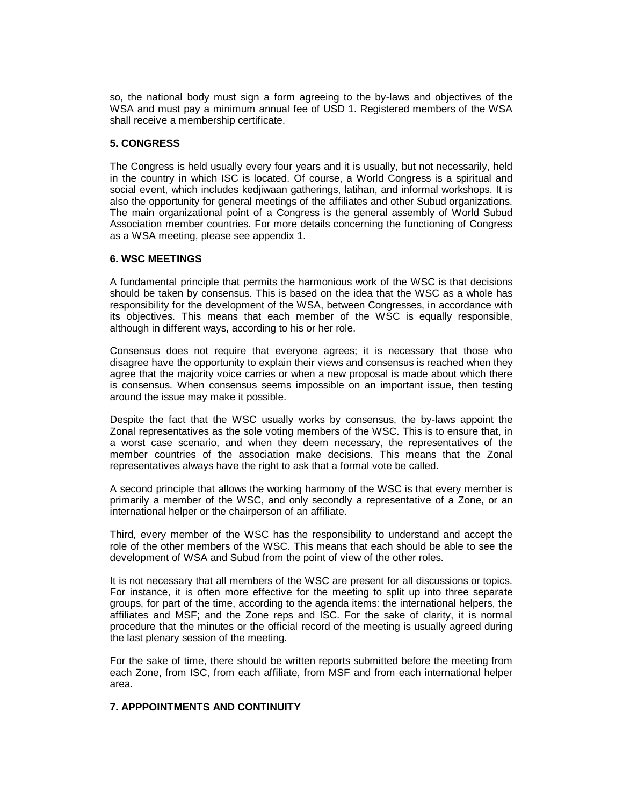so, the national body must sign a form agreeing to the by-laws and objectives of the WSA and must pay a minimum annual fee of USD 1. Registered members of the WSA shall receive a membership certificate.

# **5. CONGRESS**

The Congress is held usually every four years and it is usually, but not necessarily, held in the country in which ISC is located. Of course, a World Congress is a spiritual and social event, which includes kedjiwaan gatherings, latihan, and informal workshops. It is also the opportunity for general meetings of the affiliates and other Subud organizations. The main organizational point of a Congress is the general assembly of World Subud Association member countries. For more details concerning the functioning of Congress as a WSA meeting, please see appendix 1.

#### **6. WSC MEETINGS**

A fundamental principle that permits the harmonious work of the WSC is that decisions should be taken by consensus. This is based on the idea that the WSC as a whole has responsibility for the development of the WSA, between Congresses, in accordance with its objectives. This means that each member of the WSC is equally responsible, although in different ways, according to his or her role.

Consensus does not require that everyone agrees; it is necessary that those who disagree have the opportunity to explain their views and consensus is reached when they agree that the majority voice carries or when a new proposal is made about which there is consensus. When consensus seems impossible on an important issue, then testing around the issue may make it possible.

Despite the fact that the WSC usually works by consensus, the by-laws appoint the Zonal representatives as the sole voting members of the WSC. This is to ensure that, in a worst case scenario, and when they deem necessary, the representatives of the member countries of the association make decisions. This means that the Zonal representatives always have the right to ask that a formal vote be called.

A second principle that allows the working harmony of the WSC is that every member is primarily a member of the WSC, and only secondly a representative of a Zone, or an international helper or the chairperson of an affiliate.

Third, every member of the WSC has the responsibility to understand and accept the role of the other members of the WSC. This means that each should be able to see the development of WSA and Subud from the point of view of the other roles.

It is not necessary that all members of the WSC are present for all discussions or topics. For instance, it is often more effective for the meeting to split up into three separate groups, for part of the time, according to the agenda items: the international helpers, the affiliates and MSF; and the Zone reps and ISC. For the sake of clarity, it is normal procedure that the minutes or the official record of the meeting is usually agreed during the last plenary session of the meeting.

For the sake of time, there should be written reports submitted before the meeting from each Zone, from ISC, from each affiliate, from MSF and from each international helper area.

# **7. APPPOINTMENTS AND CONTINUITY**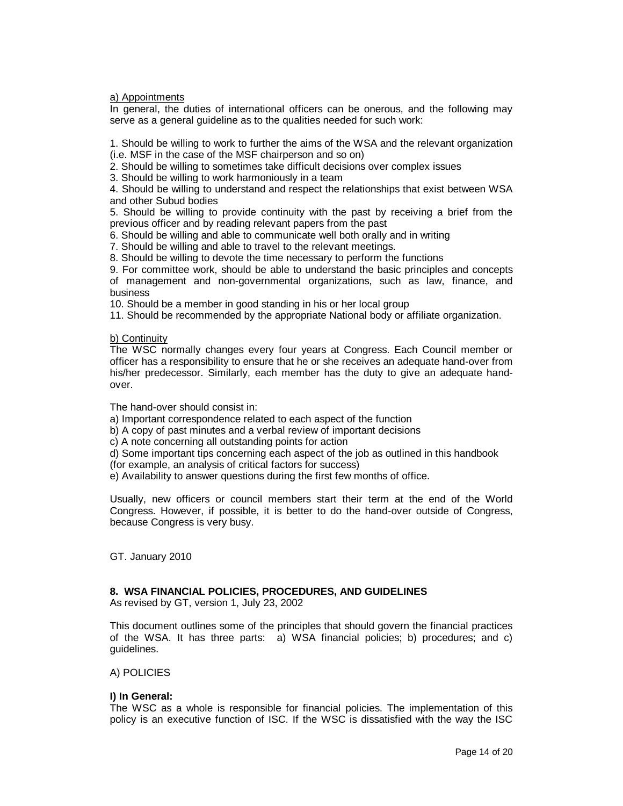a) Appointments

In general, the duties of international officers can be onerous, and the following may serve as a general guideline as to the qualities needed for such work:

1. Should be willing to work to further the aims of the WSA and the relevant organization (i.e. MSF in the case of the MSF chairperson and so on)

2. Should be willing to sometimes take difficult decisions over complex issues

3. Should be willing to work harmoniously in a team

4. Should be willing to understand and respect the relationships that exist between WSA and other Subud bodies

5. Should be willing to provide continuity with the past by receiving a brief from the previous officer and by reading relevant papers from the past

6. Should be willing and able to communicate well both orally and in writing

7. Should be willing and able to travel to the relevant meetings.

8. Should be willing to devote the time necessary to perform the functions

9. For committee work, should be able to understand the basic principles and concepts of management and non-governmental organizations, such as law, finance, and business

10. Should be a member in good standing in his or her local group

11. Should be recommended by the appropriate National body or affiliate organization.

## b) Continuity

The WSC normally changes every four years at Congress. Each Council member or officer has a responsibility to ensure that he or she receives an adequate hand-over from his/her predecessor. Similarly, each member has the duty to give an adequate handover.

The hand-over should consist in:

a) Important correspondence related to each aspect of the function

b) A copy of past minutes and a verbal review of important decisions

c) A note concerning all outstanding points for action

d) Some important tips concerning each aspect of the job as outlined in this handbook (for example, an analysis of critical factors for success)

e) Availability to answer questions during the first few months of office.

Usually, new officers or council members start their term at the end of the World Congress. However, if possible, it is better to do the hand-over outside of Congress, because Congress is very busy.

GT. January 2010

#### **8. WSA FINANCIAL POLICIES, PROCEDURES, AND GUIDELINES**

As revised by GT, version 1, July 23, 2002

This document outlines some of the principles that should govern the financial practices of the WSA. It has three parts: a) WSA financial policies; b) procedures; and c) guidelines.

#### A) POLICIES

# **I) In General:**

The WSC as a whole is responsible for financial policies. The implementation of this policy is an executive function of ISC. If the WSC is dissatisfied with the way the ISC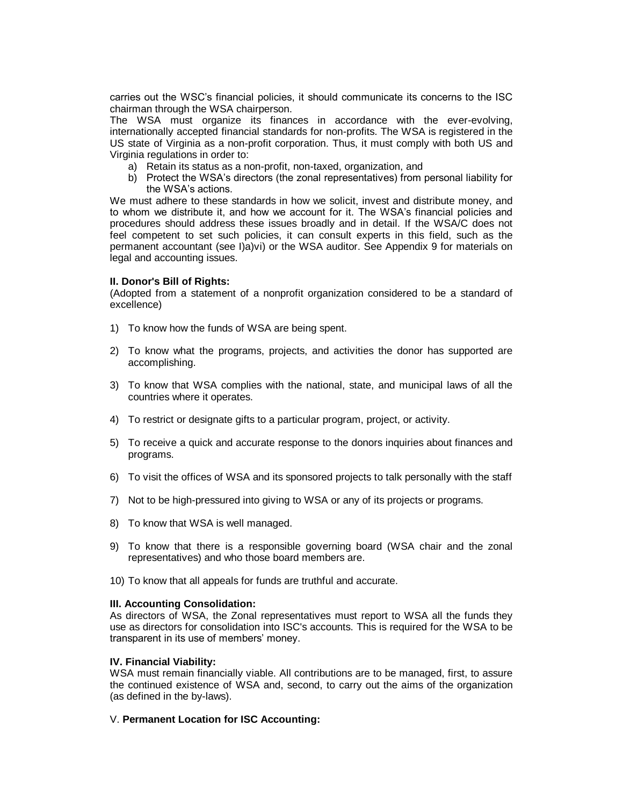carries out the WSC's financial policies, it should communicate its concerns to the ISC chairman through the WSA chairperson.

The WSA must organize its finances in accordance with the ever-evolving, internationally accepted financial standards for non-profits. The WSA is registered in the US state of Virginia as a non-profit corporation. Thus, it must comply with both US and Virginia regulations in order to:

- a) Retain its status as a non-profit, non-taxed, organization, and
- b) Protect the WSA's directors (the zonal representatives) from personal liability for the WSA's actions.

We must adhere to these standards in how we solicit, invest and distribute money, and to whom we distribute it, and how we account for it. The WSA's financial policies and procedures should address these issues broadly and in detail. If the WSA/C does not feel competent to set such policies, it can consult experts in this field, such as the permanent accountant (see I)a)vi) or the WSA auditor. See Appendix 9 for materials on legal and accounting issues.

## **II. Donor's Bill of Rights:**

(Adopted from a statement of a nonprofit organization considered to be a standard of excellence)

- 1) To know how the funds of WSA are being spent.
- 2) To know what the programs, projects, and activities the donor has supported are accomplishing.
- 3) To know that WSA complies with the national, state, and municipal laws of all the countries where it operates.
- 4) To restrict or designate gifts to a particular program, project, or activity.
- 5) To receive a quick and accurate response to the donors inquiries about finances and programs.
- 6) To visit the offices of WSA and its sponsored projects to talk personally with the staff
- 7) Not to be high-pressured into giving to WSA or any of its projects or programs.
- 8) To know that WSA is well managed.
- 9) To know that there is a responsible governing board (WSA chair and the zonal representatives) and who those board members are.
- 10) To know that all appeals for funds are truthful and accurate.

# **III. Accounting Consolidation:**

As directors of WSA, the Zonal representatives must report to WSA all the funds they use as directors for consolidation into ISC's accounts. This is required for the WSA to be transparent in its use of members' money.

#### **IV. Financial Viability:**

WSA must remain financially viable. All contributions are to be managed, first, to assure the continued existence of WSA and, second, to carry out the aims of the organization (as defined in the by-laws).

# V. **Permanent Location for ISC Accounting:**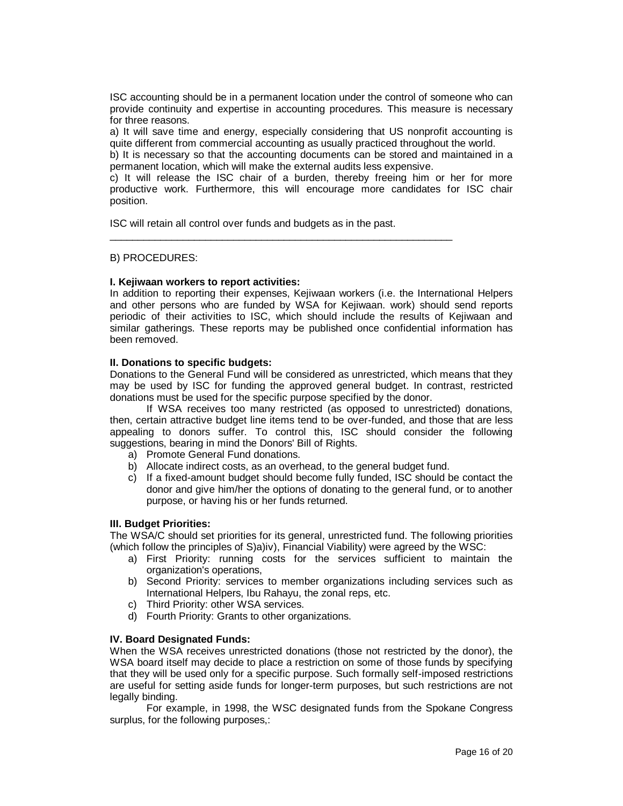ISC accounting should be in a permanent location under the control of someone who can provide continuity and expertise in accounting procedures. This measure is necessary for three reasons.

a) It will save time and energy, especially considering that US nonprofit accounting is quite different from commercial accounting as usually practiced throughout the world.

b) It is necessary so that the accounting documents can be stored and maintained in a permanent location, which will make the external audits less expensive.

c) It will release the ISC chair of a burden, thereby freeing him or her for more productive work. Furthermore, this will encourage more candidates for ISC chair position.

ISC will retain all control over funds and budgets as in the past.

\_\_\_\_\_\_\_\_\_\_\_\_\_\_\_\_\_\_\_\_\_\_\_\_\_\_\_\_\_\_\_\_\_\_\_\_\_\_\_\_\_\_\_\_\_\_\_\_\_\_\_\_\_\_\_\_\_\_\_\_\_

## B) PROCEDURES:

## **I. Kejiwaan workers to report activities:**

In addition to reporting their expenses, Kejiwaan workers (i.e. the International Helpers and other persons who are funded by WSA for Kejiwaan. work) should send reports periodic of their activities to ISC, which should include the results of Kejiwaan and similar gatherings. These reports may be published once confidential information has been removed.

## **II. Donations to specific budgets:**

Donations to the General Fund will be considered as unrestricted, which means that they may be used by ISC for funding the approved general budget. In contrast, restricted donations must be used for the specific purpose specified by the donor.

If WSA receives too many restricted (as opposed to unrestricted) donations, then, certain attractive budget line items tend to be over-funded, and those that are less appealing to donors suffer. To control this, ISC should consider the following suggestions, bearing in mind the Donors' Bill of Rights.

- a) Promote General Fund donations.
- b) Allocate indirect costs, as an overhead, to the general budget fund.
- c) If a fixed-amount budget should become fully funded, ISC should be contact the donor and give him/her the options of donating to the general fund, or to another purpose, or having his or her funds returned.

#### **III. Budget Priorities:**

The WSA/C should set priorities for its general, unrestricted fund. The following priorities (which follow the principles of S)a)iv), Financial Viability) were agreed by the WSC:

- a) First Priority: running costs for the services sufficient to maintain the organization's operations,
- b) Second Priority: services to member organizations including services such as International Helpers, Ibu Rahayu, the zonal reps, etc.
- c) Third Priority: other WSA services.
- d) Fourth Priority: Grants to other organizations.

# **IV. Board Designated Funds:**

When the WSA receives unrestricted donations (those not restricted by the donor), the WSA board itself may decide to place a restriction on some of those funds by specifying that they will be used only for a specific purpose. Such formally self-imposed restrictions are useful for setting aside funds for longer-term purposes, but such restrictions are not legally binding.

For example, in 1998, the WSC designated funds from the Spokane Congress surplus, for the following purposes,: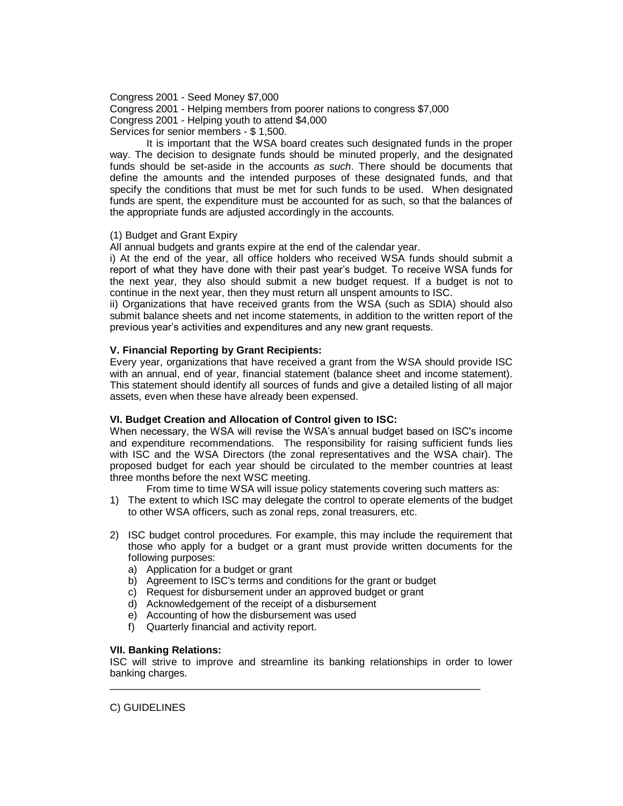Congress 2001 - Seed Money \$7,000

Congress 2001 - Helping members from poorer nations to congress \$7,000 Congress 2001 - Helping youth to attend \$4,000 Services for senior members - \$ 1,500.

It is important that the WSA board creates such designated funds in the proper way. The decision to designate funds should be minuted properly, and the designated funds should be set-aside in the accounts *as such*. There should be documents that define the amounts and the intended purposes of these designated funds, and that specify the conditions that must be met for such funds to be used. When designated funds are spent, the expenditure must be accounted for as such, so that the balances of the appropriate funds are adjusted accordingly in the accounts.

# (1) Budget and Grant Expiry

All annual budgets and grants expire at the end of the calendar year.

i) At the end of the year, all office holders who received WSA funds should submit a report of what they have done with their past year's budget. To receive WSA funds for the next year, they also should submit a new budget request. If a budget is not to continue in the next year, then they must return all unspent amounts to ISC.

ii) Organizations that have received grants from the WSA (such as SDIA) should also submit balance sheets and net income statements, in addition to the written report of the previous year's activities and expenditures and any new grant requests.

# **V. Financial Reporting by Grant Recipients:**

Every year, organizations that have received a grant from the WSA should provide ISC with an annual, end of year, financial statement (balance sheet and income statement). This statement should identify all sources of funds and give a detailed listing of all major assets, even when these have already been expensed.

# **VI. Budget Creation and Allocation of Control given to ISC:**

When necessary, the WSA will revise the WSA's annual budget based on ISC's income and expenditure recommendations. The responsibility for raising sufficient funds lies with ISC and the WSA Directors (the zonal representatives and the WSA chair). The proposed budget for each year should be circulated to the member countries at least three months before the next WSC meeting.

From time to time WSA will issue policy statements covering such matters as:

- 1) The extent to which ISC may delegate the control to operate elements of the budget to other WSA officers, such as zonal reps, zonal treasurers, etc.
- 2) ISC budget control procedures. For example, this may include the requirement that those who apply for a budget or a grant must provide written documents for the following purposes:
	- a) Application for a budget or grant
	- b) Agreement to ISC's terms and conditions for the grant or budget
	- c) Request for disbursement under an approved budget or grant
	- d) Acknowledgement of the receipt of a disbursement
	- e) Accounting of how the disbursement was used
	- f) Quarterly financial and activity report.

# **VII. Banking Relations:**

ISC will strive to improve and streamline its banking relationships in order to lower banking charges.

\_\_\_\_\_\_\_\_\_\_\_\_\_\_\_\_\_\_\_\_\_\_\_\_\_\_\_\_\_\_\_\_\_\_\_\_\_\_\_\_\_\_\_\_\_\_\_\_\_\_\_\_\_\_\_\_\_\_\_\_\_\_\_\_\_\_

C) GUIDELINES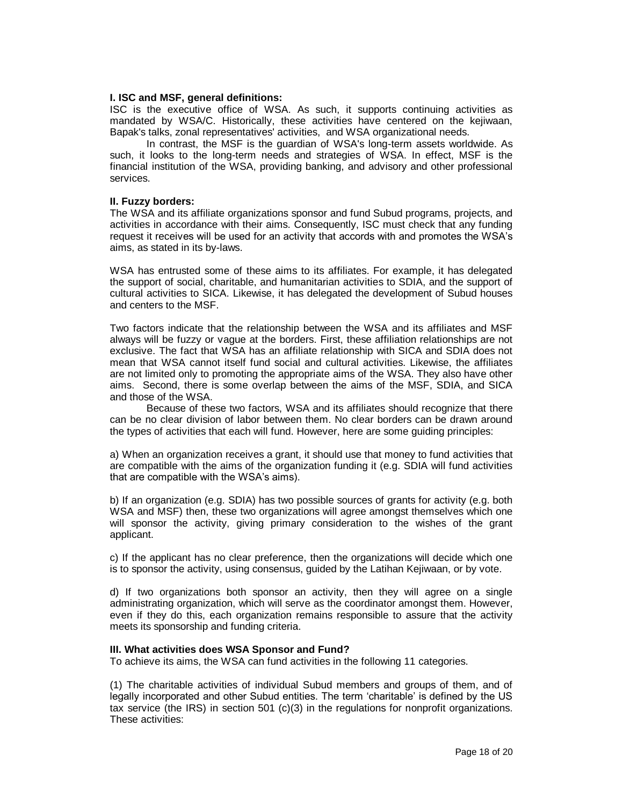### **I. ISC and MSF, general definitions:**

ISC is the executive office of WSA. As such, it supports continuing activities as mandated by WSA/C. Historically, these activities have centered on the kejiwaan, Bapak's talks, zonal representatives' activities, and WSA organizational needs.

In contrast, the MSF is the guardian of WSA's long-term assets worldwide. As such, it looks to the long-term needs and strategies of WSA. In effect, MSF is the financial institution of the WSA, providing banking, and advisory and other professional services.

## **II. Fuzzy borders:**

The WSA and its affiliate organizations sponsor and fund Subud programs, projects, and activities in accordance with their aims. Consequently, ISC must check that any funding request it receives will be used for an activity that accords with and promotes the WSA's aims, as stated in its by-laws.

WSA has entrusted some of these aims to its affiliates. For example, it has delegated the support of social, charitable, and humanitarian activities to SDIA, and the support of cultural activities to SICA. Likewise, it has delegated the development of Subud houses and centers to the MSF.

Two factors indicate that the relationship between the WSA and its affiliates and MSF always will be fuzzy or vague at the borders. First, these affiliation relationships are not exclusive. The fact that WSA has an affiliate relationship with SICA and SDIA does not mean that WSA cannot itself fund social and cultural activities. Likewise, the affiliates are not limited only to promoting the appropriate aims of the WSA. They also have other aims. Second, there is some overlap between the aims of the MSF, SDIA, and SICA and those of the WSA.

Because of these two factors, WSA and its affiliates should recognize that there can be no clear division of labor between them. No clear borders can be drawn around the types of activities that each will fund. However, here are some guiding principles:

a) When an organization receives a grant, it should use that money to fund activities that are compatible with the aims of the organization funding it (e.g. SDIA will fund activities that are compatible with the WSA's aims).

b) If an organization (e.g. SDIA) has two possible sources of grants for activity (e.g. both WSA and MSF) then, these two organizations will agree amongst themselves which one will sponsor the activity, giving primary consideration to the wishes of the grant applicant.

c) If the applicant has no clear preference, then the organizations will decide which one is to sponsor the activity, using consensus, guided by the Latihan Kejiwaan, or by vote.

d) If two organizations both sponsor an activity, then they will agree on a single administrating organization, which will serve as the coordinator amongst them. However, even if they do this, each organization remains responsible to assure that the activity meets its sponsorship and funding criteria.

#### **III. What activities does WSA Sponsor and Fund?**

To achieve its aims, the WSA can fund activities in the following 11 categories.

(1) The charitable activities of individual Subud members and groups of them, and of legally incorporated and other Subud entities. The term 'charitable' is defined by the US tax service (the IRS) in section 501 (c)(3) in the regulations for nonprofit organizations. These activities: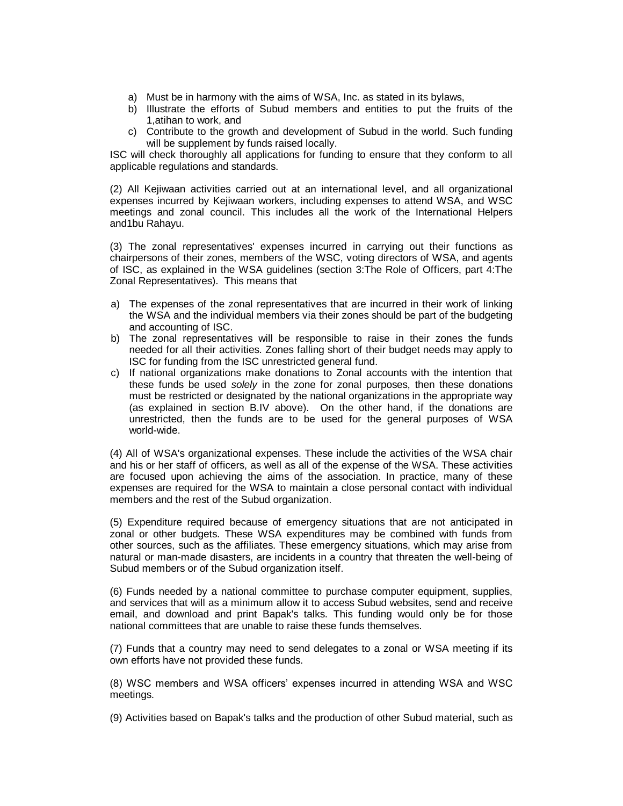- a) Must be in harmony with the aims of WSA, Inc. as stated in its bylaws,
- b) Illustrate the efforts of Subud members and entities to put the fruits of the 1,atihan to work, and
- c) Contribute to the growth and development of Subud in the world. Such funding will be supplement by funds raised locally.

ISC will check thoroughly all applications for funding to ensure that they conform to all applicable regulations and standards.

(2) All Kejiwaan activities carried out at an international level, and all organizational expenses incurred by Kejiwaan workers, including expenses to attend WSA, and WSC meetings and zonal council. This includes all the work of the International Helpers and1bu Rahayu.

(3) The zonal representatives' expenses incurred in carrying out their functions as chairpersons of their zones, members of the WSC, voting directors of WSA, and agents of ISC, as explained in the WSA guidelines (section 3:The Role of Officers, part 4:The Zonal Representatives). This means that

- a) The expenses of the zonal representatives that are incurred in their work of linking the WSA and the individual members via their zones should be part of the budgeting and accounting of ISC.
- b) The zonal representatives will be responsible to raise in their zones the funds needed for all their activities. Zones falling short of their budget needs may apply to ISC for funding from the ISC unrestricted general fund.
- c) If national organizations make donations to Zonal accounts with the intention that these funds be used *solely* in the zone for zonal purposes, then these donations must be restricted or designated by the national organizations in the appropriate way (as explained in section B.IV above). On the other hand, if the donations are unrestricted, then the funds are to be used for the general purposes of WSA world-wide.

(4) All of WSA's organizational expenses. These include the activities of the WSA chair and his or her staff of officers, as well as all of the expense of the WSA. These activities are focused upon achieving the aims of the association. In practice, many of these expenses are required for the WSA to maintain a close personal contact with individual members and the rest of the Subud organization.

(5) Expenditure required because of emergency situations that are not anticipated in zonal or other budgets. These WSA expenditures may be combined with funds from other sources, such as the affiliates. These emergency situations, which may arise from natural or man-made disasters, are incidents in a country that threaten the well-being of Subud members or of the Subud organization itself.

(6) Funds needed by a national committee to purchase computer equipment, supplies, and services that will as a minimum allow it to access Subud websites, send and receive email, and download and print Bapak's talks. This funding would only be for those national committees that are unable to raise these funds themselves.

(7) Funds that a country may need to send delegates to a zonal or WSA meeting if its own efforts have not provided these funds.

(8) WSC members and WSA officers' expenses incurred in attending WSA and WSC meetings.

(9) Activities based on Bapak's talks and the production of other Subud material, such as